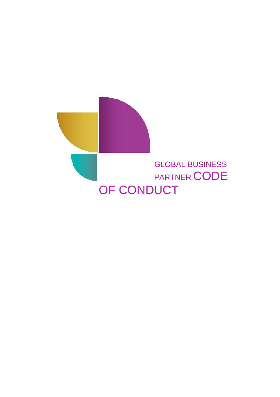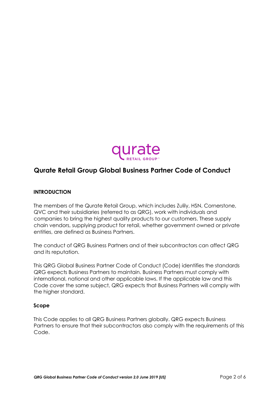

# **Qurate Retail Group Global Business Partner Code of Conduct**

# **INTRODUCTION**

The members of the Qurate Retail Group, which includes Zulily, HSN, Cornerstone, QVC and their subsidiaries (referred to as QRG), work with individuals and companies to bring the highest quality products to our customers. These supply chain vendors, supplying product for retail, whether government owned or private entities, are defined as Business Partners.

The conduct of QRG Business Partners and of their subcontractors can affect QRG and its reputation.

This QRG Global Business Partner Code of Conduct (Code) identifies the standards QRG expects Business Partners to maintain. Business Partners must comply with international, national and other applicable laws. If the applicable law and this Code cover the same subject, QRG expects that Business Partners will comply with the higher standard.

# **Scope**

This Code applies to all QRG Business Partners globally. QRG expects Business Partners to ensure that their subcontractors also comply with the requirements of this Code.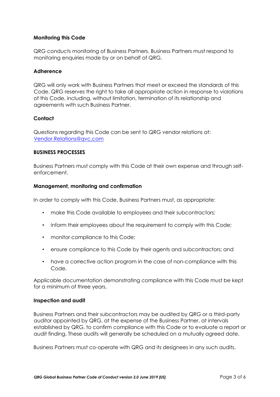# **Monitoring this Code**

QRG conducts monitoring of Business Partners. Business Partners must respond to monitoring enquiries made by or on behalf of QRG.

# **Adherence**

QRG will only work with Business Partners that meet or exceed the standards of this Code. QRG reserves the right to take all appropriate action in response to violations of this Code, including, without limitation, termination of its relationship and agreements with such Business Partner.

# **Contact**

Questions regarding this Code can be sent to QRG vendor relations at: Vendor.Relations@qvc.com

# **BUSINESS PROCESSES**

Business Partners must comply with this Code at their own expense and through selfenforcement.

# **Management, monitoring and confirmation**

In order to comply with this Code, Business Partners must, as appropriate:

- make this Code available to employees and their subcontractors;
- inform their employees about the requirement to comply with this Code;
- monitor compliance to this Code:
- ensure compliance to this Code by their agents and subcontractors; and
- have a corrective action program in the case of non-compliance with this Code.

Applicable documentation demonstrating compliance with this Code must be kept for a minimum of three years.

#### **Inspection and audit**

Business Partners and their subcontractors may be audited by QRG or a third-party auditor appointed by QRG, at the expense of the Business Partner, at intervals established by QRG, to confirm compliance with this Code or to evaluate a report or audit finding. These audits will generally be scheduled on a mutually agreed date.

Business Partners must co-operate with QRG and its designees in any such audits.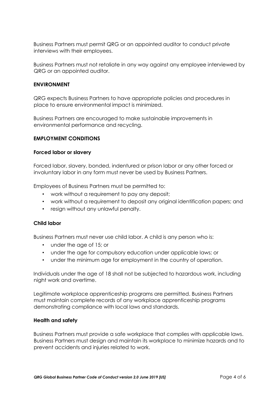Business Partners must permit QRG or an appointed auditor to conduct private interviews with their employees.

Business Partners must not retaliate in any way against any employee interviewed by QRG or an appointed auditor.

# **ENVIRONMENT**

QRG expects Business Partners to have appropriate policies and procedures in place to ensure environmental impact is minimized.

Business Partners are encouraged to make sustainable improvements in environmental performance and recycling.

### **EMPLOYMENT CONDITIONS**

#### **Forced labor or slavery**

Forced labor, slavery, bonded, indentured or prison labor or any other forced or involuntary labor in any form must never be used by Business Partners.

Employees of Business Partners must be permitted to:

- work without a requirement to pay any deposit;
- work without a requirement to deposit any original identification papers; and
- resign without any unlawful penalty.

#### **Child labor**

Business Partners must never use child labor. A child is any person who is:

- under the age of 15; or
- under the age for compulsory education under applicable laws; or
- under the minimum age for employment in the country of operation.

Individuals under the age of 18 shall not be subjected to hazardous work, including night work and overtime.

Legitimate workplace apprenticeship programs are permitted. Business Partners must maintain complete records of any workplace apprenticeship programs demonstrating compliance with local laws and standards.

#### **Health and safety**

Business Partners must provide a safe workplace that complies with applicable laws. Business Partners must design and maintain its workplace to minimize hazards and to prevent accidents and injuries related to work.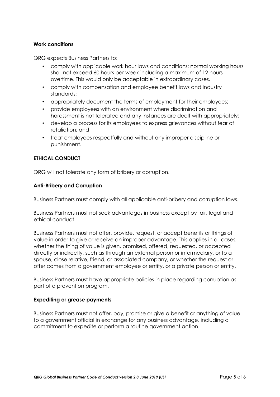# **Work conditions**

QRG expects Business Partners to:

- comply with applicable work hour laws and conditions; normal working hours shall not exceed 60 hours per week including a maximum of 12 hours overtime. This would only be acceptable in extraordinary cases.
- comply with compensation and employee benefit laws and industry standards;
- appropriately document the terms of employment for their employees;
- provide employees with an environment where discrimination and harassment is not tolerated and any instances are dealt with appropriately;
- develop a process for its employees to express grievances without fear of retaliation; and
- treat employees respectfully and without any improper discipline or punishment.

# **ETHICAL CONDUCT**

QRG will not tolerate any form of bribery or corruption.

# **Anti-Bribery and Corruption**

Business Partners must comply with all applicable anti-bribery and corruption laws.

Business Partners must not seek advantages in business except by fair, legal and ethical conduct.

Business Partners must not offer, provide, request, or accept benefits or things of value in order to give or receive an improper advantage. This applies in all cases, whether the thing of value is given, promised, offered, requested, or accepted directly or indirectly, such as through an external person or intermediary, or to a spouse, close relative, friend, or associated company, or whether the request or offer comes from a government employee or entity, or a private person or entity.

Business Partners must have appropriate policies in place regarding corruption as part of a prevention program.

#### **Expediting or grease payments**

Business Partners must not offer, pay, promise or give a benefit or anything of value to a government official in exchange for any business advantage, including a commitment to expedite or perform a routine government action.